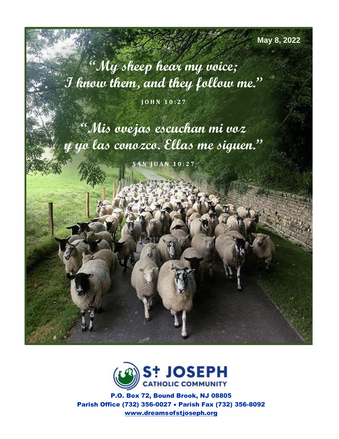**May 8, 2022**

**"My sheep hear my voice; I know them, and they follow me."**

**J O H N 1 0 : 2 7**

**"Mis ovejas escuchan mi voz y yo las conozco. Ellas me siguen."**

**S A N J U A N 1 0 : 2 7**



P.O. Box 72, Bound Brook, NJ 08805 Parish Office (732) 356-0027 • Parish Fax (732) 356-8092 [www.dreamso](http://www.dreams/)fstjoseph.org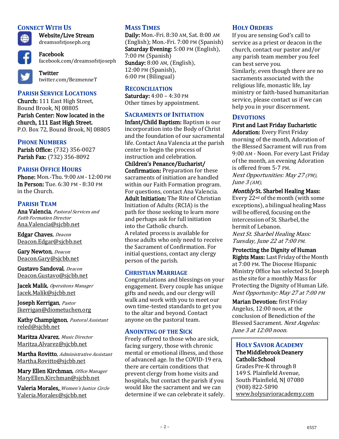# **CONNECT WITH US**



Website/Live Stream dreamsofstjoseph.org

Facebook facebook.com/dreamsofstjoseph



**Twitter** twitter.com/BezmenneT

# **PARISH SERVICE LOCATIONS**

Church: 111 East High Street, Bound Brook, NJ 08805 Parish Center: Now located in the church, 111 East High Street. P.O. Box 72, Bound Brook, NJ 08805

## **PHONE NUMBERS**

Parish Office: (732) 356-0027 Parish Fax: (732) 356-8092

# **PARISH OFFICE HOURS**

Phone: Mon.-Thu. 9:00 AM - 12:00 PM In Person: Tue. 6:30 PM - 8:30 PM in the Church.

## **PARISH TEAM**

Ana Valencia, Pastoral Services and Faith Formation Director [Ana.Valencia@sjcbb.net](mailto:Ana.Valencia@sjcbb.net)

Edgar Chaves, Deacon [Deacon.Edgar@sjcbb.net](mailto:Deacon.Edgar@sjcbb.net)

Gary Newton, Deacon [Deacon.Gary@sjcbb.net](mailto:Deacon.Gary@sjcbb.net)

Gustavo Sandoval, Deacon [Deacon.Gustavo@sjcbb.net](mailto:Deacon.Gustavo@sjcbb.ne)

Jacek Malik, Operations Manager [Jacek.Malik@sjcbb.net](mailto:Jacek.Malik@sjcbb.net)

Joseph Kerrigan, Pastor [Jkerrigan@diometuchen.org](mailto:Jkerrigan@diometuchen.org)

Kathy Champignon, Pastoral Assistant [reled@sjcbb.net](mailto:reled@sjcbb.net)

Maritza Alvarez, Music Director [Maritza.Alvarez@sjcbb.net](mailto:Maritza.Alvarez@sjcbb.net)

Martha Rovitto, Administrative Assistant [Martha.Rovitto@sjcbb.net](mailto:Martha.Rovitto@sjcbb.net)

Mary Ellen Kirchman, Office Manager [MaryEllen.Kirchman@sjcbb.net](mailto:MaryEllen.Kirchman@sjcbb.net)

Valeria Morales, Women's Justice Circle Valeria.Morales@sjcbb.net

# **MASS TIMES**

Daily: Mon.-Fri. 8:30 AM, Sat. 8:00 AM (English); Mon.-Fri. 7:00 PM (Spanish) Saturday Evening: 5:00 PM (English), 7:00 PM (Spanish) Sunday: 8:00 AM, (English), 12:00 PM (Spanish), 6:00 PM (Bilingual)

#### **RECONCILIATION**

Saturday: 4:00 – 4:30 PM Other times by appointment.

#### **SACRAMENTS OF INITIATION**

Infant/Child Baptism: Baptism is our incorporation into the Body of Christ and the foundation of our sacramental life. Contact Ana Valencia at the parish center to begin the process of instruction and celebration.

Children's Penance/Eucharist/ Confirmation: Preparation for these sacraments of initiation are handled within our Faith Formation program. For questions, contact Ana Valencia. Adult Initiation: The Rite of Christian Initiation of Adults (RCIA) is the path for those seeking to learn more and perhaps ask for full initiation into the Catholic church. A related process is available for those adults who only need to receive the Sacrament of Confirmation. For initial questions, contact any clergy person of the parish.

#### **CHRISTIAN MARRIAGE**

Congratulations and blessings on your engagement. Every couple has unique gifts and needs, and our clergy will walk and work with you to meet our own time-tested standards to get you to the altar and beyond. Contact anyone on the pastoral team.

#### **ANOINTING OF THE SICK**

Freely offered to those who are sick, facing surgery, those with chronic mental or emotional illness, and those of advanced age. In the COVID-19 era, there are certain conditions that prevent clergy from home visits and hospitals, but contact the parish if you would like the sacrament and we can determine if we can celebrate it safely.

#### **HOLY ORDERS**

If you are sensing God's call to service as a priest or deacon in the church, contact our pastor and/or any parish team member you feel can best serve you.

Similarly, even though there are no sacraments associated with the religious life, monastic life, lay ministry or faith-based humanitarian service, please contact us if we can help you in your discernment.

# **DEVOTIONS**

#### First and Last Friday Eucharistic

Adoration: Every First Friday morning of the month, Adoration of the Blessed Sacrament will run from 9:00 AM - Noon. For every Last Friday of the month, an evening Adoration is offered from 5-7 PM. Next Opportunities: May 27 (PM), June  $3$  (AM),

#### Monthly St. Sharbel Healing Mass:

Every 22<sup>nd</sup> of the month (with some exceptions), a bilingual healing Mass will be offered, focusing on the intercession of St. Sharbel, the hermit of Lebanon. Next St. Sharbel Healing Mass: Tuesday, June 22 at 7:00 PM.

#### Protecting the Dignity of Human

Rights Mass: Last Friday of the Month at 7:00 PM. The Diocese Hispanic Ministry Office has selected St.Joseph as thesite for a monthly Mass for Protecting the Dignity of Human Life. Next Opportunity: May 27 at 7:00 PM

Marian Devotion: first Friday Angelus, 12:00 noon, at the conclusion of Benediction of the Blessed Sacrament. Next Angelus: June 3 at 12:00 noon.

#### **HOLY SAVIOR ACADEMY** The Middlebrook Deanery Catholic School

Grades Pre-K through 8 149 S. Plainfield Avenue, South Plainfield, NJ 07080 (908) 822-5890 [www.holysavioracademy.com](http://www.holysavioracademy.com/)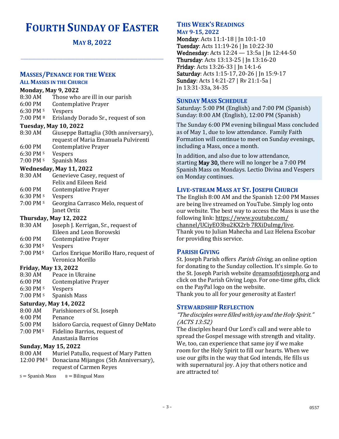# **FOURTH SUNDAY OF EASTER**

**MAY 8, 2022**

**\_\_\_\_\_\_\_\_\_\_\_\_\_\_\_\_\_\_\_\_\_\_\_\_\_\_\_\_\_\_\_\_\_\_\_\_\_\_\_\_\_\_\_\_\_\_\_\_\_\_\_\_\_\_\_\_\_\_\_\_\_\_\_\_\_\_\_\_\_\_\_\_\_\_\_\_\_\_\_\_\_\_\_\_\_\_\_\_\_\_\_\_\_\_\_\_\_\_\_\_\_\_\_\_\_\_\_\_\_\_\_\_\_\_\_\_**

# **MASSES/PENANCE FOR THE WEEK**

# **ALL MASSES IN THE CHURCH**

| <b>Monday, May 9, 2022</b>    |                                                                                |  |
|-------------------------------|--------------------------------------------------------------------------------|--|
| 8:30 AM                       | Those who are ill in our parish                                                |  |
| 6:00 PM                       | <b>Contemplative Prayer</b>                                                    |  |
| 6:30 PM s                     | Vespers                                                                        |  |
| 7:00 PM B                     | Erislandy Dorado Sr., request of son                                           |  |
| <b>Tuesday, May 10, 2022</b>  |                                                                                |  |
| 8:30 AM                       | Giuseppe Battaglia (30th anniversary),<br>request of Maria Emanuela Pulvirenti |  |
| 6:00 PM                       | <b>Contemplative Prayer</b>                                                    |  |
| 6:30 PM s                     | Vespers                                                                        |  |
| 7:00 PM s                     | Spanish Mass                                                                   |  |
| Wednesday, May 11, 2022       |                                                                                |  |
| 8:30 AM                       | Genevieve Casey, request of                                                    |  |
|                               | <b>Felix and Eileen Reid</b>                                                   |  |
| 6:00 PM                       | Contemplative Prayer                                                           |  |
| 6:30 PM s                     | Vespers                                                                        |  |
| 7:00 PM s                     | Georgina Carrasco Melo, request of                                             |  |
|                               | Janet Ortiz                                                                    |  |
| <b>Thursday, May 12, 2022</b> |                                                                                |  |
| 8:30 AM                       | Joseph J. Kerrigan, Sr., request of                                            |  |
|                               | Eileen and Leon Borowski                                                       |  |
| 6:00 PM                       | <b>Contemplative Prayer</b>                                                    |  |
| 6:30 PM s                     | Vespers                                                                        |  |
| 7:00 PM s                     | Carlos Enrique Morillo Haro, request of<br>Veronica Morillo                    |  |

# **Friday, May 13, 2022**

- 8:30 AM Peace in Ukraine
- 6:00 PM Contemplative Prayer
- 6:30 PM <sup>S</sup> Vespers
- 7:00 PM <sup>s</sup> Spanish Mass

# **Saturday, May 14, 2022**

- 8:00 AM Parishioners of St. Joseph
- 4:00 PM Penance
- 5:00 PM Isidoro Garcia, request of Ginny DeMato 7:00 PM<sup>s</sup> Fidelino Barrios, request of
	- Anastasia Barrios

# **Sunday, May 15, 2022**

- 8:00 AM Muriel Patullo, request of Mary Patten 12:00 PM <sup>S</sup> Donaciana Mijangos (5th Anniversary),
- request of Carmen Reyes

 $s =$  Spanish Mass  $B =$  Bilingual Mass

## **THIS WEEK'S READINGS MAY 9-15, 2022**

Monday: Acts 11:1-18 | Jn 10:1-10 Tuesday: Acts 11:19-26 | Jn 10:22-30 Wednesday: Acts 12:24 — 13:5a | Jn 12:44-50 Thursday: Acts 13:13-25 | Jn 13:16-20 Friday: Acts 13:26-33 | Jn 14:1-6 Saturday: Acts 1:15-17, 20-26 | Jn 15:9-17 Sunday: Acts 14:21-27 | Rv 21:1-5a | Jn 13:31-33a, 34-35

# **SUNDAY MASS SCHEDULE**

Saturday: 5:00 PM (English) and 7:00 PM (Spanish) Sunday: 8:00 AM (English), 12:00 PM (Spanish)

The Sunday 6:00 PM evening bilingual Mass concluded as of May 1, due to low attendance. Family Faith Formation will continue to meet on Sunday evenings, including a Mass, once a month.

In addition, and also due to low attendance, starting May 30, there will no longer be a 7:00 PM Spanish Mass on Mondays. Lectio Divina and Vespers on Monday continues.

# **LIVE-STREAM MASS AT ST. JOSEPH CHURCH**

The English 8:00 AM and the Spanish 12:00 PM Masses are being live streamed on YouTube. Simply log onto our website. The best way to access the Mass is use the following link: [https://www.youtube.com/](https://www.youtube.com/%20channel/UCiyEO3bu2KX2rb%207RXiDuImg/live)  [channel/UCiyEO3bu2KX2rb 7RXiDuImg/live.](https://www.youtube.com/%20channel/UCiyEO3bu2KX2rb%207RXiDuImg/live) Thank you to Julian Mahecha and Luz Helena Escobar for providing this service.

# **PARISH GIVING**

St. Joseph Parish offers *Parish Giving*, an online option for donating to the Sunday collection. It's simple. Go to the St. Joseph Parish website dreamsofstjoseph.org and click on the Parish Giving Logo. For one-time gifts, click on the PayPal logo on the website. Thank you to all for your generosity at Easter!

#### **STEWARDSHIP REFLECTION**

# "The disciples were filled with joy and the Holy Spirit." (ACTS 13:52)

The disciples heard Our Lord's call and were able to spread the Gospel message with strength and vitality. We, too, can experience that same joy if we make room for the Holy Spirit to fill our hearts. When we use our gifts in the way that God intends, He fills us with supernatural joy. A joy that others notice and are attracted to!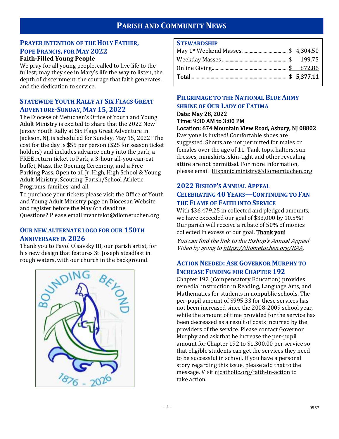# **PARISH AND COMMUNITY NEWS**

# **PRAYER INTENTION OF THE HOLY FATHER, POPE FRANCIS, FOR MAY 2022**

# **Faith-Filled Young People**

We pray for all young people, called to live life to the fullest; may they see in Mary's life the way to listen, the depth of discernment, the courage that faith generates, and the dedication to service.

# **STATEWIDE YOUTH RALLY AT SIX FLAGS GREAT ADVENTURE-SUNDAY, MAY 15, 2022**

The Diocese of Metuchen's Office of Youth and Young Adult Ministry is excited to share that the 2022 New Jersey Youth Rally at Six Flags Great Adventure in Jackson, NJ, is scheduled for Sunday, May 15, 2022! The cost for the day is \$55 per person (\$25 for season ticket holders) and includes advance entry into the park, a FREE return ticket to Park, a 3-hour all-you-can-eat buffet, Mass, the Opening Ceremony, and a Free Parking Pass. Open to all Jr. High, High School & Young Adult Ministry, Scouting, Parish/School Athletic Programs, families, and all.

To purchase your tickets please visit the Office of Youth and Young Adult Ministry page on Diocesan Website and register before the May 6th deadline. Questions? Please email [mvantslot@diometuchen.org](mailto:mvantslot@diometuchen.org)

## **OUR NEW ALTERNATE LOGO FOR OUR 150TH ANNIVERSARY IN 2026**

Thank you to Pavol Olsavsky III, our parish artist, for his new design that features St. Joseph steadfast in rough waters, with our church in the background.



#### **STEWARDSHIP**

| <u>.</u> |  |
|----------|--|

# **PILGRIMAGE TO THE NATIONAL BLUE ARMY SHRINE OF OUR LADY OF FATIMA**

Date: May 28, 2022 Time: 9:30 AM to 3:00 PM

# Location: 674 Mountain View Road, Asbury, NJ 08802

Everyone is invited! Comfortable shoes are suggested. Shorts are not permitted for males or females over the age of 11. Tank tops, halters, sun dresses, miniskirts, skin-tight and other revealing attire are not permitted. For more information, please email [Hispanic.ministry@diomemtuchen.org](mailto:Hispanic.ministry@diomemtuchen.org)

# **2022 BISHOP'S ANNUAL APPEAL CELEBRATING 40 YEARS—CONTINUING TO FAN THE FLAME OF FAITH INTO SERVICE**

With \$36,479.25 in collected and pledged amounts, we have exceeded our goal of \$33,000 by 10.5%! Our parish will receive a rebate of 50% of monies collected in excess of our goal. Thank you!

You can find the link to the Bishop's Annual Appeal Video by going t[o https://diometuchen.org/BAA.](https://diometuchen.org/BAA)

# **ACTION NEEDED: ASK GOVERNOR MURPHY TO INCREASE FUNDING FOR CHAPTER 192**

Chapter 192 (Compensatory Education) provides remedial instruction in Reading, Language Arts, and Mathematics for students in nonpublic schools. The per-pupil amount of \$995.33 for these services has not been increased since the 2008-2009 school year, while the amount of time provided for the service has been decreased as a result of costs incurred by the providers of the service. Please contact Governor Murphy and ask that he increase the per-pupil amount for Chapter 192 to \$1,300.00 per service so that eligible students can get the services they need to be successful in school. If you have a personal story regarding this issue, please add that to the message. Visit njcatholic.org/faith-in-action to take action.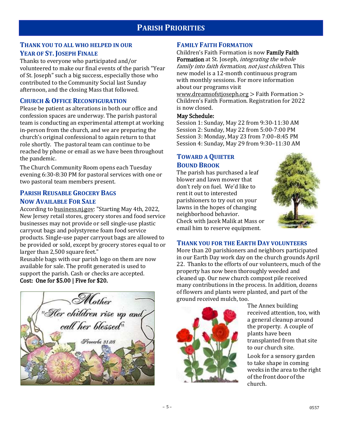## **THANK YOU TO ALL WHO HELPED IN OUR YEAR OF ST. JOSEPH FINALE**

Thanks to everyone who participated and/or volunteered to make our final events of the parish "Year of St. Joseph" such a big success, especially those who contributed to the Community Social last Sunday afternoon, and the closing Mass that followed.

# **CHURCH & OFFICE RECONFIGURATION**

Please be patient as alterations in both our office and confession spaces are underway. The parish pastoral team is conducting an experimental attempt at working in-person from the church, and we are preparing the church's original confessional to again return to that role shortly. The pastoral team can continue to be reached by phone or email as we have been throughout the pandemic.

The Church Community Room opens each Tuesday evening 6:30-8:30 PM for pastoral services with one or two pastoral team members present.

# **PARISH REUSABLE GROCERY BAGS NOW AVAILABLE FOR SALE**

According to [business.nj.gov:](http://business.nj.gov/) "Starting May 4th, 2022, New Jersey retail stores, grocery stores and food service businesses may not provide or sell single-use plastic carryout bags and polystyrene foam food service products. Single-use paper carryout bags are allowed to be provided or sold, except by grocery stores equal to or larger than 2,500 square feet."

Reusable bags with our parish logo on them are now available for sale. The profit generated is used to support the parish. Cash or checks are accepted. Cost: One for \$5.00 | Five for \$20.



## **FAMILY FAITH FORMATION**

Children's Faith Formation is now Family Faith Formation at St. Joseph, *integrating the whole* family into faith formation, not just children. This new model is a 12-month continuous program with monthly sessions. For more information about our programs visit

[www.dreamsofstjoseph.org](http://www.dreamsofstjoseph.org/) > Faith Formation > Children's Faith Formation. Registration for 2022 is now closed.

#### May Schedule:

Session 1: Sunday, May 22 from 9:30-11:30 AM Session 2: Sunday, May 22 from 5:00-7:00 PM Session 3: Monday, May 23 from 7:00–8:45 PM Session 4: Sunday, May 29 from 9:30–11:30 AM

## **TOWARD A QUIETER BOUND BROOK**

The parish has purchased a leaf blower and lawn mower that don't rely on fuel. We'd like to rent it out to interested parishioners to try out on your lawns in the hopes of changing neighborhood behavior. Check with Jacek Malik at Mass or email him to reserve equipment.



#### **THANK YOU FOR THE EARTH DAY VOLUNTEERS**

More than 20 parishioners and neighbors participated in our Earth Day work day on the church grounds April 22. Thanks to the efforts of our volunteers, much of the property has now been thoroughly weeded and cleaned up. Our new church compost pile received many contributions in the process. In addition, dozens of flowers and plants were planted, and part of the ground received mulch, too.



The Annex building received attention, too, with a general cleanup around the property. A couple of plants have been transplanted from that site to our church site. Look for a sensory garden to take shape in coming weeks in the area to the right of the front door of the church.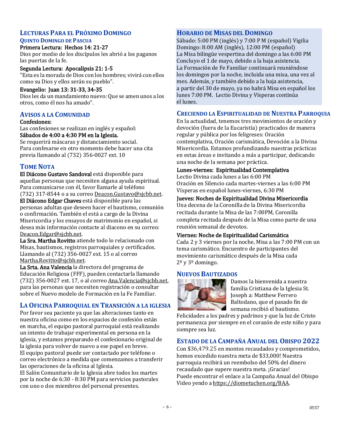#### **LECTURAS PARA EL PRÓXIMO DOMINGO QUINTO DOMINGO DE PASCUA**

#### Primera Lectura: Hechos 14: 21-27

Dios por medio de los discípulos les abrió a los paganos las puertas de la fe.

#### Segunda Lectura: Apocalipsis 21: 1-5

"Esta es la morada de Dios con los hombres; vivirá con ellos como su Dios y ellos serán su pueblo".

#### Evangelio: Juan 13: 31-33, 34-35

Dios les da un mandamiento nuevo: Que se amen unos a los otros, como él nos ha amado".

# **AVISOS A LA COMUNIDAD**

#### Confesiones:

Las confesiones se realizan en inglés y español: Sábados de 4:00 a 4:30 PM en la Iglesia.

Se requerirá máscaras y distanciamiento social. Para confesarse en otro momento debe hacer una cita previa llamando al (732) 356-0027 ext. 10

# **TOME NOTA**

El Diácono Gustavo Sandoval está disponible para aquellas personas que necesiten alguna ayuda espiritual. Para comunicarse con él, favor llamarle al teléfono (732) 317-8544 o a su correo [Deacon.Gustavo@sjcbb.net.](mailto:Deacon.Gustavo@sjcbb.net)

El Diácono Edgar Chaves está disponible para las personas adultas que deseen hacer el bautismo, comunión o confirmación. También el está a cargo de la Divina Misericordia y los ensayos de matrimonio en español, si desea más información contacte al diacono en su correo: [Deacon.Edgar@sjcbb.net.](mailto:Deacon.Edgar@sjcbb.net)

La Sra. Martha Rovitto atiende todo lo relacionado con Misas, bautismos, registros parroquiales y certificados. Llamando al (732) 356-0027 ext. 15 o al correo [Martha.Rovitto@sjcbb.net.](mailto:Martha.Rovitto@sjcbb.net)

La Srta. Ana Valencia la directora del programa de Educación Religiosa (FFF), pueden contactarla llamando (732) 356-0027 ext. 17, o al corre[o Ana.Valencia@sjcbb.net,](mailto:Ana.Valencia@sjcbb.net)  para las personas que necesiten registración o consultar sobre el Nuevo modelo de Formación en la Fe Familiar.

# **LA OFICINA PARROQUIAL EN TRANSICIÓN A LA IGLESIA**

Por favor sea paciente ya que las alteraciones tanto en nuestra oficina como en los espacios de confesión están en marcha, el equipo pastoral parroquial está realizando un intento de trabajar experimental en persona en la iglesia, y estamos preparando el confesionario original de la iglesia para volver de nuevo a ese papel en breve. El equipo pastoral puede ser contactado por teléfono o correo electrónico a medida que comenzamos a transferir las operaciones de la oficina al Iglesia.

El Salón Comunitario de la Iglesia abre todos los martes por la noche de 6:30 - 8:30 PM para servicios pastorales con uno o dos miembros del personal presentes.

#### **HORARIO DE MISAS DEL DOMINGO**

Sábado: 5:00 PM (inglés) y 7:00 P M (español) Vigilia Domingo: 8:00 AM (inglés), 12:00 PM (español) La Misa bilingüe vespertina del domingo a las 6:00 PM Concluyo el 1 de mayo, debido a la baja asistencia. La Formación de Fe Familiar continuará reuniéndose los domingos por la noche, incluida una misa, una vez al mes. Además, y también debido a la baja asistencia, a partir del 30 de mayo, ya no habrá Misa en español los lunes 7:00 PM. Lectio Divina y Vísperas continúa el lunes.

## **CRECIENDO LA ESPIRITUALIDAD DE NUESTRA PARROQUIA**

En la actualidad, tenemos tres movimientos de oración y devoción (fuera de la Eucaristía) practicados de manera regular y pública por los feligreses: Oración contemplativa, Oración carismática, Devoción a la Divina Misericordia. Estamos profundizando nuestras prácticas en estas áreas e invitando a más a participar, dedicando una noche de la semana por práctica.

#### Lunes-viernes: Espiritualidad Contemplativa

Lectio Divina cada lunes a las 6:00 PM Oración en Silencio cada martes-viernes a las 6:00 PM Vísperas en español lunes-viernes, 6:30 PM

#### Jueves: Noches de Espiritualidad Divina Misericordia

Una decena de la Coronilla de la Divina Misericordia recitada durante la Misa de las 7:00PM, Coronilla completa recitada después de la Misa como parte de una reunión semanal de devotos.

#### Viernes: Noche de Espiritualidad Carismática

Cada 2 y 3 viernes por la noche, Misa a las 7:00 PM con un tema carismático. Encuentro de participantes del movimiento carismático después de la Misa cada 2º y 3º domingo.

# **NUEVOS BAUTIZADOS**



Damos la bienvenida a nuestra familia Cristiana de la Iglesia St. Joseph a: Matthew Ferrero Baltodano, que el pasado fin de semana recibió el bautismo.

Felicidades a los padres y padrinos y que la luz de Cristo permanezca por siempre en el corazón de este niño y para siempre sea luz.

# **ESTADO DE LA CAMPAÑA ANUAL DEL OBISPO 2022**

Con \$36,479.25 en montos recaudados y comprometidos, hemos excedido nuestra meta de \$33,000! Nuestra parroquia recibirá un reembolso del 50% del dinero recaudado que supere nuestra meta. ¡Gracias! Puede encontrar el enlace a la Campaña Anual del Obispo Video yendo a [https://diometuchen.org/BAA.](https://diometuchen.org/BAA)